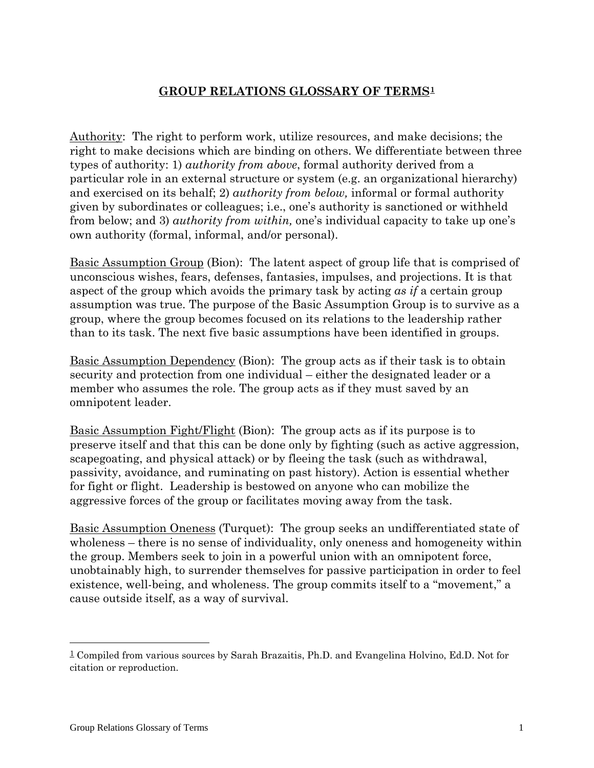## **GROUP RELATIONS GLOSSARY OF TERMS[1](#page-0-0)**

Authority: The right to perform work, utilize resources, and make decisions; the right to make decisions which are binding on others. We differentiate between three types of authority: 1) *authority from above*, formal authority derived from a particular role in an external structure or system (e.g. an organizational hierarchy) and exercised on its behalf; 2) *authority from below,* informal or formal authority given by subordinates or colleagues; i.e., one's authority is sanctioned or withheld from below; and 3) *authority from within,* one's individual capacity to take up one's own authority (formal, informal, and/or personal).

Basic Assumption Group (Bion): The latent aspect of group life that is comprised of unconscious wishes, fears, defenses, fantasies, impulses, and projections. It is that aspect of the group which avoids the primary task by acting *as if* a certain group assumption was true. The purpose of the Basic Assumption Group is to survive as a group, where the group becomes focused on its relations to the leadership rather than to its task. The next five basic assumptions have been identified in groups.

Basic Assumption Dependency (Bion): The group acts as if their task is to obtain security and protection from one individual – either the designated leader or a member who assumes the role. The group acts as if they must saved by an omnipotent leader.

Basic Assumption Fight/Flight (Bion): The group acts as if its purpose is to preserve itself and that this can be done only by fighting (such as active aggression, scapegoating, and physical attack) or by fleeing the task (such as withdrawal, passivity, avoidance, and ruminating on past history). Action is essential whether for fight or flight. Leadership is bestowed on anyone who can mobilize the aggressive forces of the group or facilitates moving away from the task.

Basic Assumption Oneness (Turquet): The group seeks an undifferentiated state of wholeness – there is no sense of individuality, only oneness and homogeneity within the group. Members seek to join in a powerful union with an omnipotent force, unobtainably high, to surrender themselves for passive participation in order to feel existence, well-being, and wholeness. The group commits itself to a "movement," a cause outside itself, as a way of survival.

 $\overline{a}$ 

<span id="page-0-0"></span><sup>1</sup> Compiled from various sources by Sarah Brazaitis, Ph.D. and Evangelina Holvino, Ed.D. Not for citation or reproduction.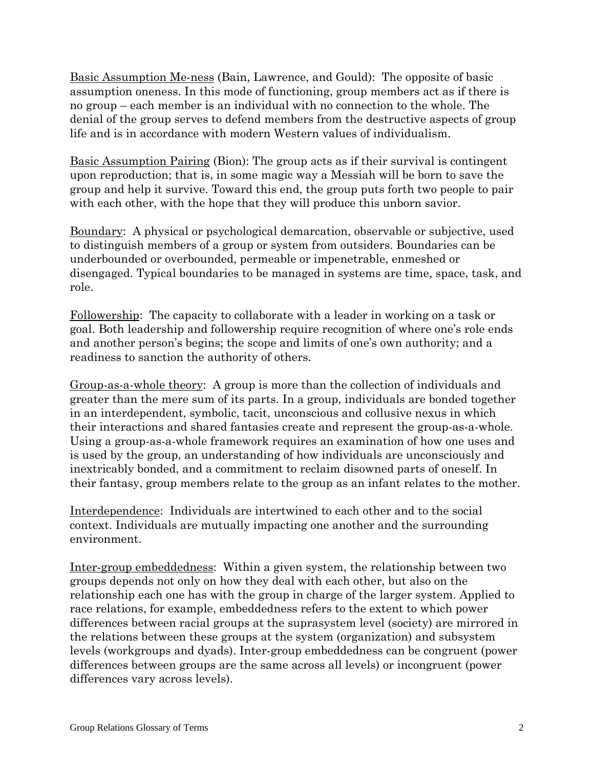Basic Assumption Me-ness (Bain, Lawrence, and Gould): The opposite of basic assumption oneness. In this mode of functioning, group members act as if there is no group – each member is an individual with no connection to the whole. The denial of the group serves to defend members from the destructive aspects of group life and is in accordance with modern Western values of individualism.

Basic Assumption Pairing (Bion): The group acts as if their survival is contingent upon reproduction; that is, in some magic way a Messiah will be born to save the group and help it survive. Toward this end, the group puts forth two people to pair with each other, with the hope that they will produce this unborn savior.

Boundary: A physical or psychological demarcation, observable or subjective, used to distinguish members of a group or system from outsiders. Boundaries can be underbounded or overbounded, permeable or impenetrable, enmeshed or disengaged. Typical boundaries to be managed in systems are time, space, task, and role.

Followership: The capacity to collaborate with a leader in working on a task or goal. Both leadership and followership require recognition of where one's role ends and another person's begins; the scope and limits of one's own authority; and a readiness to sanction the authority of others.

Group-as-a-whole theory: A group is more than the collection of individuals and greater than the mere sum of its parts. In a group, individuals are bonded together in an interdependent, symbolic, tacit, unconscious and collusive nexus in which their interactions and shared fantasies create and represent the group-as-a-whole. Using a group-as-a-whole framework requires an examination of how one uses and is used by the group, an understanding of how individuals are unconsciously and inextricably bonded, and a commitment to reclaim disowned parts of oneself. In their fantasy, group members relate to the group as an infant relates to the mother.

Interdependence: Individuals are intertwined to each other and to the social context. Individuals are mutually impacting one another and the surrounding environment.

Inter-group embeddedness: Within a given system, the relationship between two groups depends not only on how they deal with each other, but also on the relationship each one has with the group in charge of the larger system. Applied to race relations, for example, embeddedness refers to the extent to which power differences between racial groups at the suprasystem level (society) are mirrored in the relations between these groups at the system (organization) and subsystem levels (workgroups and dyads). Inter-group embeddedness can be congruent (power differences between groups are the same across all levels) or incongruent (power differences vary across levels).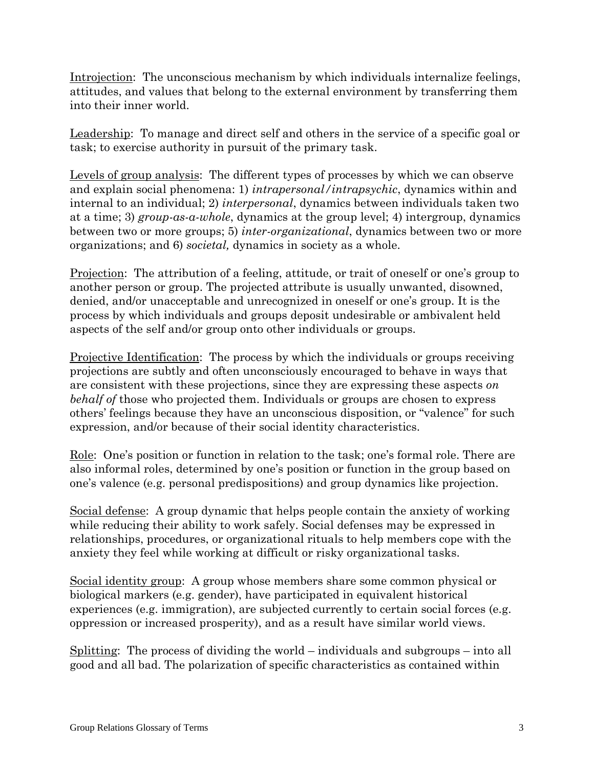Introjection: The unconscious mechanism by which individuals internalize feelings, attitudes, and values that belong to the external environment by transferring them into their inner world.

Leadership: To manage and direct self and others in the service of a specific goal or task; to exercise authority in pursuit of the primary task.

Levels of group analysis: The different types of processes by which we can observe and explain social phenomena: 1) *intrapersonal/intrapsychic*, dynamics within and internal to an individual; 2) *interpersonal*, dynamics between individuals taken two at a time; 3) *group-as-a-whole*, dynamics at the group level; 4) intergroup, dynamics between two or more groups; 5) *inter-organizational*, dynamics between two or more organizations; and 6) *societal,* dynamics in society as a whole.

Projection: The attribution of a feeling, attitude, or trait of oneself or one's group to another person or group. The projected attribute is usually unwanted, disowned, denied, and/or unacceptable and unrecognized in oneself or one's group. It is the process by which individuals and groups deposit undesirable or ambivalent held aspects of the self and/or group onto other individuals or groups.

Projective Identification: The process by which the individuals or groups receiving projections are subtly and often unconsciously encouraged to behave in ways that are consistent with these projections, since they are expressing these aspects *on behalf of* those who projected them. Individuals or groups are chosen to express others' feelings because they have an unconscious disposition, or "valence" for such expression, and/or because of their social identity characteristics.

Role: One's position or function in relation to the task; one's formal role. There are also informal roles, determined by one's position or function in the group based on one's valence (e.g. personal predispositions) and group dynamics like projection.

Social defense: A group dynamic that helps people contain the anxiety of working while reducing their ability to work safely. Social defenses may be expressed in relationships, procedures, or organizational rituals to help members cope with the anxiety they feel while working at difficult or risky organizational tasks.

Social identity group: A group whose members share some common physical or biological markers (e.g. gender), have participated in equivalent historical experiences (e.g. immigration), are subjected currently to certain social forces (e.g. oppression or increased prosperity), and as a result have similar world views.

Splitting: The process of dividing the world – individuals and subgroups – into all good and all bad. The polarization of specific characteristics as contained within